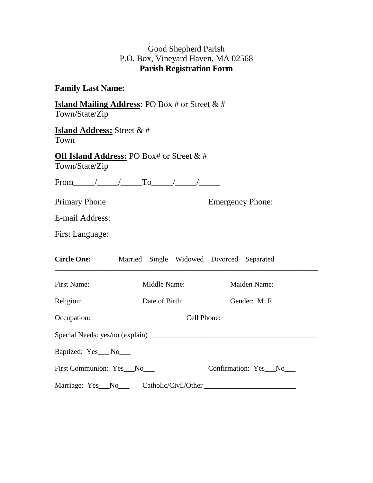## Good Shepherd Parish P.O. Box, Vineyard Haven, MA 02568 **Parish Registration Form**

## **Family Last Name:**

**Island Mailing Address:** PO Box # or Street & # Town/State/Zip

**Island Address:** Street & # Town

**Off Island Address:** PO Box# or Street & # Town/State/Zip

From\_\_\_\_\_/\_\_\_\_\_/\_\_\_\_\_To\_\_\_\_\_/\_\_\_\_\_/\_\_\_\_\_

Primary Phone Emergency Phone:

E-mail Address:

First Language:

| <b>Circle One:</b>              |  | Married Single Widowed Divorced Separated |                      |              |  |  |
|---------------------------------|--|-------------------------------------------|----------------------|--------------|--|--|
| <b>First Name:</b>              |  | Middle Name:                              |                      | Maiden Name: |  |  |
| Religion:                       |  | Date of Birth:                            |                      | Gender: M F  |  |  |
| Occupation:                     |  | Cell Phone:                               |                      |              |  |  |
| Special Needs: yes/no (explain) |  |                                           |                      |              |  |  |
| Baptized: Yes___ No___          |  |                                           |                      |              |  |  |
| First Communion: Yes_No__       |  |                                           | Confirmation: Yes No |              |  |  |
|                                 |  |                                           |                      |              |  |  |